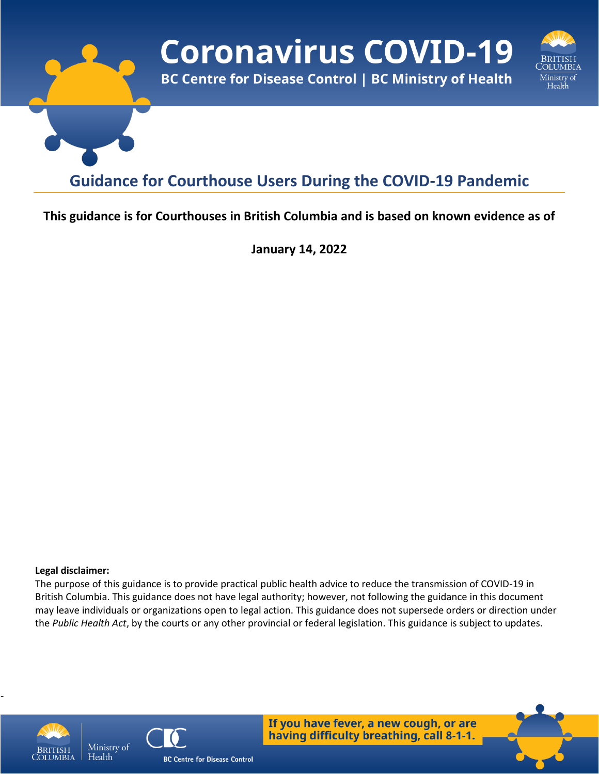

### **This guidance is for Courthouses in British Columbia and is based on known evidence as of**

**January 14, 2022**

#### **Legal disclaimer:**

The purpose of this guidance is to provide practical public health advice to reduce the transmission of COVID-19 in British Columbia. This guidance does not have legal authority; however, not following the guidance in this document may leave individuals or organizations open to legal action. This guidance does not supersede orders or direction under the *Public Health Act*, by the courts or any other provincial or federal legislation. This guidance is subject to updates.



-



If you have fever, a new cough, or are having difficulty breathing, call 8-1-1.

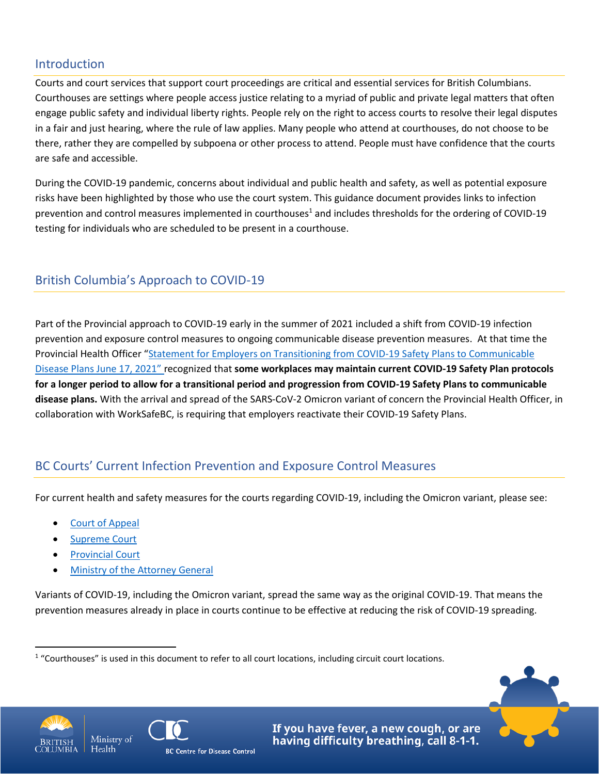#### Introduction

Courts and court services that support court proceedings are critical and essential services for British Columbians. Courthouses are settings where people access justice relating to a myriad of public and private legal matters that often engage public safety and individual liberty rights. People rely on the right to access courts to resolve their legal disputes in a fair and just hearing, where the rule of law applies. Many people who attend at courthouses, do not choose to be there, rather they are compelled by subpoena or other process to attend. People must have confidence that the courts are safe and accessible.

During the COVID-19 pandemic, concerns about individual and public health and safety, as well as potential exposure risks have been highlighted by those who use the court system. This guidance document provides links to infection prevention and control measures implemented in courthouses<sup>1</sup> and includes thresholds for the ordering of COVID-19 testing for individuals who are scheduled to be present in a courthouse.

# British Columbia's Approach to COVID-19

Part of the Provincial approach to COVID-19 early in the summer of 2021 included a shift from COVID-19 infection prevention and exposure control measures to ongoing communicable disease prevention measures. At that time the Provincial Health Officer "Statement for Employers on Transitioning from COVID-19 Safety Plans to Communicable [Disease Plans June 17, 2021](https://www2.gov.bc.ca/assets/gov/health/about-bc-s-health-care-system/office-of-the-provincial-health-officer/covid-19/covid-19-pho-letter-communicable-disease-plans.pdf)" recognized that **some workplaces may maintain current COVID-19 Safety Plan protocols for a longer period to allow for a transitional period and progression from COVID-19 Safety Plans to communicable disease plans.** With the arrival and spread of the SARS-CoV-2 Omicron variant of concern the Provincial Health Officer, in collaboration with WorkSafeBC, is requiring that employers reactivate their COVID-19 Safety Plans.

## BC Courts' Current Infection Prevention and Exposure Control Measures

For current health and safety measures for the courts regarding COVID-19, including the Omicron variant, please see:

- [Court of Appeal](https://www.bccourts.ca/Court_of_Appeal/overview_modified_court_procedures_due_to_covid-19.aspx)
- [Supreme Court](https://www.bccourts.ca/supreme_court/)
- [Provincial Court](https://www.provincialcourt.bc.ca/COVID19)
- [Ministry of the Attorney General](https://www2.gov.bc.ca/gov/content/justice/covid-19)

Variants of COVID-19, including the Omicron variant, spread the same way as the original COVID-19. That means the prevention measures already in place in courts continue to be effective at reducing the risk of COVID-19 spreading.





If you have fever, a new cough, or are having difficulty breathing, call 8-1-1.



<sup>&</sup>lt;sup>1</sup> "Courthouses" is used in this document to refer to all court locations, including circuit court locations.